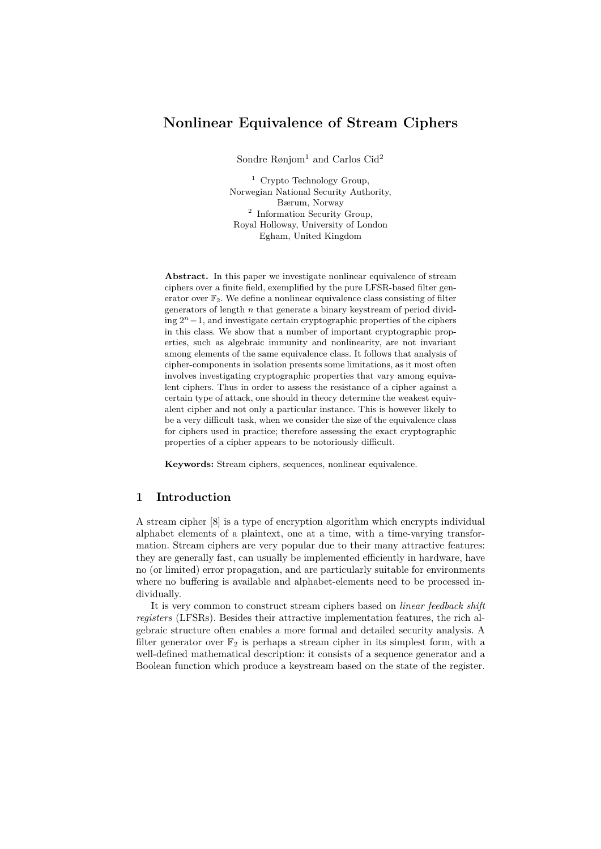Sondre Rønjom<sup>1</sup> and Carlos Cid<sup>2</sup>

<sup>1</sup> Crypto Technology Group, Norwegian National Security Authority, Bærum, Norway <sup>2</sup> Information Security Group, Royal Holloway, University of London Egham, United Kingdom

**Abstract.** In this paper we investigate nonlinear equivalence of stream ciphers over a finite field, exemplified by the pure LFSR-based filter generator over  $\mathbb{F}_2$ . We define a nonlinear equivalence class consisting of filter generators of length *n* that generate a binary keystream of period dividing 2 *<sup>n</sup>−*1, and investigate certain cryptographic properties of the ciphers in this class. We show that a number of important cryptographic properties, such as algebraic immunity and nonlinearity, are not invariant among elements of the same equivalence class. It follows that analysis of cipher-components in isolation presents some limitations, as it most often involves investigating cryptographic properties that vary among equivalent ciphers. Thus in order to assess the resistance of a cipher against a certain type of attack, one should in theory determine the weakest equivalent cipher and not only a particular instance. This is however likely to be a very difficult task, when we consider the size of the equivalence class for ciphers used in practice; therefore assessing the exact cryptographic properties of a cipher appears to be notoriously difficult.

**Keywords:** Stream ciphers, sequences, nonlinear equivalence.

### **1 Introduction**

A stream cipher [8] is a type of encryption algorithm which encrypts individual alphabet elements of a plaintext, one at a time, with a time-varying transformation. Stream ciphers are very popular due to their many attractive features: they are generally fast, can usually be implemented efficiently in hardware, have no (or limited) error propagation, and are particularly suitable for environments where no buffering is available and alphabet-elements need to be processed individually.

It is very common to construct stream ciphers based on *linear feedback shift registers* (LFSRs). Besides their attractive implementation features, the rich algebraic structure often enables a more formal and detailed security analysis. A filter generator over  $\mathbb{F}_2$  is perhaps a stream cipher in its simplest form, with a well-defined mathematical description: it consists of a sequence generator and a Boolean function which produce a keystream based on the state of the register.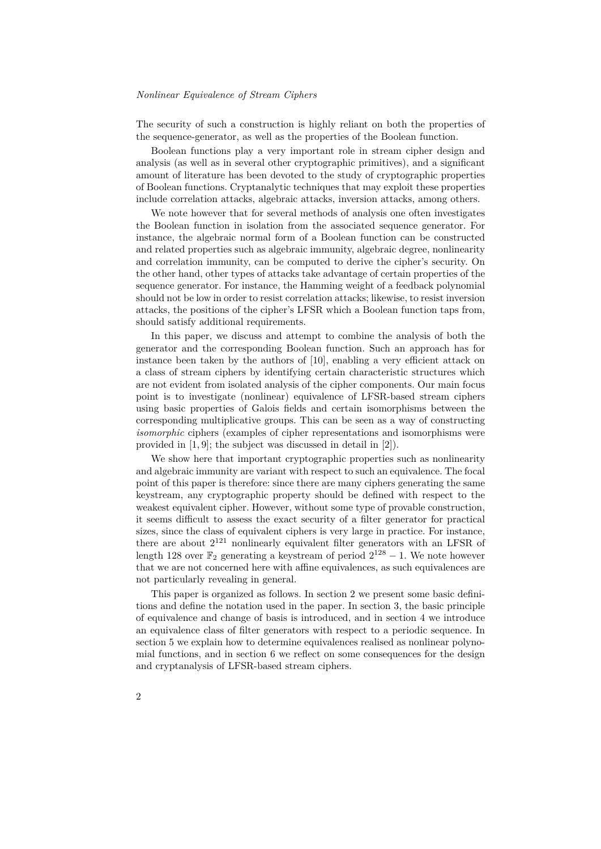The security of such a construction is highly reliant on both the properties of the sequence-generator, as well as the properties of the Boolean function.

Boolean functions play a very important role in stream cipher design and analysis (as well as in several other cryptographic primitives), and a significant amount of literature has been devoted to the study of cryptographic properties of Boolean functions. Cryptanalytic techniques that may exploit these properties include correlation attacks, algebraic attacks, inversion attacks, among others.

We note however that for several methods of analysis one often investigates the Boolean function in isolation from the associated sequence generator. For instance, the algebraic normal form of a Boolean function can be constructed and related properties such as algebraic immunity, algebraic degree, nonlinearity and correlation immunity, can be computed to derive the cipher's security. On the other hand, other types of attacks take advantage of certain properties of the sequence generator. For instance, the Hamming weight of a feedback polynomial should not be low in order to resist correlation attacks; likewise, to resist inversion attacks, the positions of the cipher's LFSR which a Boolean function taps from, should satisfy additional requirements.

In this paper, we discuss and attempt to combine the analysis of both the generator and the corresponding Boolean function. Such an approach has for instance been taken by the authors of [10], enabling a very efficient attack on a class of stream ciphers by identifying certain characteristic structures which are not evident from isolated analysis of the cipher components. Our main focus point is to investigate (nonlinear) equivalence of LFSR-based stream ciphers using basic properties of Galois fields and certain isomorphisms between the corresponding multiplicative groups. This can be seen as a way of constructing *isomorphic* ciphers (examples of cipher representations and isomorphisms were provided in  $[1, 9]$ ; the subject was discussed in detail in  $[2]$ ).

We show here that important cryptographic properties such as nonlinearity and algebraic immunity are variant with respect to such an equivalence. The focal point of this paper is therefore: since there are many ciphers generating the same keystream, any cryptographic property should be defined with respect to the weakest equivalent cipher. However, without some type of provable construction, it seems difficult to assess the exact security of a filter generator for practical sizes, since the class of equivalent ciphers is very large in practice. For instance, there are about 2 <sup>121</sup> nonlinearly equivalent filter generators with an LFSR of length 128 over  $\mathbb{F}_2$  generating a keystream of period  $2^{128} - 1$ . We note however that we are not concerned here with affine equivalences, as such equivalences are not particularly revealing in general.

This paper is organized as follows. In section 2 we present some basic definitions and define the notation used in the paper. In section 3, the basic principle of equivalence and change of basis is introduced, and in section 4 we introduce an equivalence class of filter generators with respect to a periodic sequence. In section 5 we explain how to determine equivalences realised as nonlinear polynomial functions, and in section 6 we reflect on some consequences for the design and cryptanalysis of LFSR-based stream ciphers.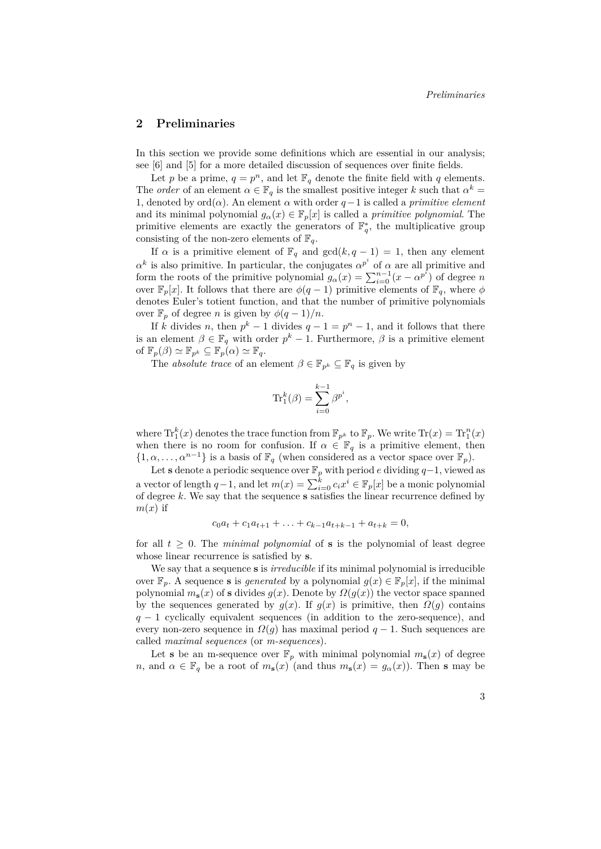# **2 Preliminaries**

In this section we provide some definitions which are essential in our analysis; see [6] and [5] for a more detailed discussion of sequences over finite fields.

Let *p* be a prime,  $q = p^n$ , and let  $\mathbb{F}_q$  denote the finite field with *q* elements. The *order* of an element  $\alpha \in \mathbb{F}_q$  is the smallest positive integer *k* such that  $\alpha^k =$ 1, denoted by ord $(\alpha)$ . An element  $\alpha$  with order  $q-1$  is called a *primitive element* and its minimal polynomial  $g_{\alpha}(x) \in \mathbb{F}_p[x]$  is called a *primitive polynomial*. The primitive elements are exactly the generators of  $\mathbb{F}_q^*$ , the multiplicative group consisting of the non-zero elements of  $\mathbb{F}_q$ .

If  $\alpha$  is a primitive element of  $\mathbb{F}_q$  and  $gcd(k, q-1) = 1$ , then any element *α*<sup>*k*</sup> is also primitive. In particular, the conjugates  $α^{p^i}$  of *α* are all primitive and form the roots of the primitive polynomial  $g_{\alpha}(x) = \sum_{i=0}^{n-1} (x - {\alpha}^{p^i})$  of degree *n* over  $\mathbb{F}_p[x]$ . It follows that there are  $\phi(q-1)$  primitive elements of  $\mathbb{F}_q$ , where  $\phi$ denotes Euler's totient function, and that the number of primitive polynomials over  $\mathbb{F}_p$  of degree *n* is given by  $\phi(q-1)/n$ .

If *k* divides *n*, then  $p^k - 1$  divides  $q - 1 = p^n - 1$ , and it follows that there is an element  $\beta \in \mathbb{F}_q$  with order  $p^k - 1$ . Furthermore,  $\beta$  is a primitive element of  $\mathbb{F}_p(\beta) \simeq \mathbb{F}_{p^k} \subseteq \mathbb{F}_p(\alpha) \simeq \mathbb{F}_q$ .

The *absolute trace* of an element  $\beta \in \mathbb{F}_{p^k} \subseteq \mathbb{F}_q$  is given by

$$
\mathrm{Tr}_1^k(\beta) = \sum_{i=0}^{k-1} \beta^{p^i},
$$

where  $\text{Tr}_1^k(x)$  denotes the trace function from  $\mathbb{F}_{p^k}$  to  $\mathbb{F}_p$ . We write  $\text{Tr}(x) = \text{Tr}_1^n(x)$ when there is no room for confusion. If  $\alpha \in \mathbb{F}_q$  is a primitive element, then  $\{1, \alpha, \ldots, \alpha^{n-1}\}\$ is a basis of  $\mathbb{F}_q$  (when considered as a vector space over  $\mathbb{F}_p$ ).

Let **s** denote a periodic sequence over  $\mathbb{F}_p$  with period *e* dividing  $q-1$ , viewed as a vector of length  $q-1$ , and let  $m(x) = \sum_{i=0}^{k} c_i x^i \in \mathbb{F}_p[x]$  be a monic polynomial of degree *k*. We say that the sequence **s** satisfies the linear recurrence defined by  $m(x)$  if

$$
c_0a_t + c_1a_{t+1} + \ldots + c_{k-1}a_{t+k-1} + a_{t+k} = 0,
$$

for all  $t \geq 0$ . The *minimal polynomial* of **s** is the polynomial of least degree whose linear recurrence is satisfied by **s**.

We say that a sequence **s** is *irreducible* if its minimal polynomial is irreducible over  $\mathbb{F}_p$ . A sequence **s** is *generated* by a polynomial  $g(x) \in \mathbb{F}_p[x]$ , if the minimal polynomial  $m_s(x)$  of **s** divides  $g(x)$ . Denote by  $\Omega(g(x))$  the vector space spanned by the sequences generated by  $g(x)$ . If  $g(x)$  is primitive, then  $\Omega(g)$  contains *q* − 1 cyclically equivalent sequences (in addition to the zero-sequence), and every non-zero sequence in  $\Omega(g)$  has maximal period  $q-1$ . Such sequences are called *maximal sequences* (or *m-sequences*).

Let **s** be an m-sequence over  $\mathbb{F}_p$  with minimal polynomial  $m_s(x)$  of degree *n*, and  $\alpha \in \mathbb{F}_q$  be a root of  $m_s(x)$  (and thus  $m_s(x) = g_\alpha(x)$ ). Then **s** may be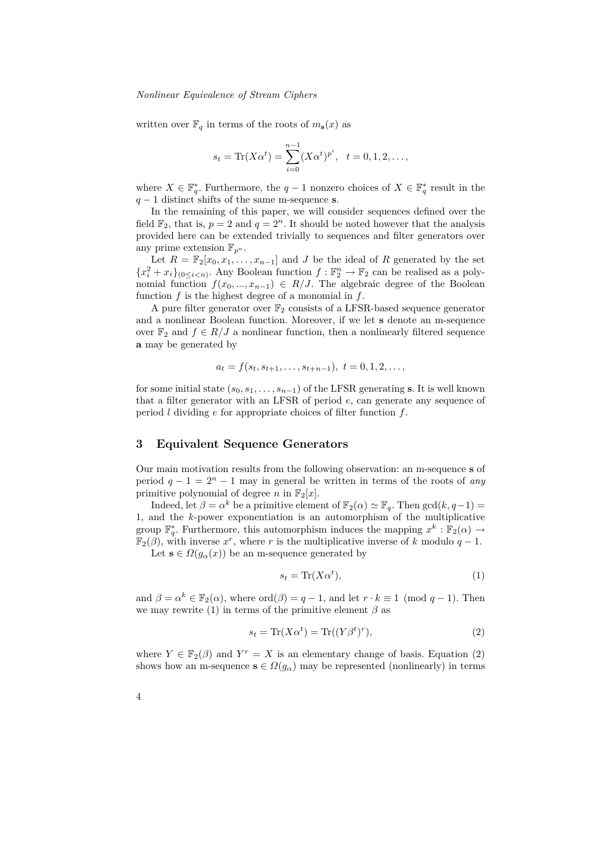written over  $\mathbb{F}_q$  in terms of the roots of  $m_s(x)$  as

$$
s_t = \text{Tr}(X\alpha^t) = \sum_{i=0}^{n-1} (X\alpha^t)^{p^i}, \quad t = 0, 1, 2, \dots,
$$

where  $X \in \mathbb{F}_q^*$ . Furthermore, the  $q-1$  nonzero choices of  $X \in \mathbb{F}_q^*$  result in the  $q - 1$  distinct shifts of the same m-sequence **s**.

In the remaining of this paper, we will consider sequences defined over the field  $\mathbb{F}_2$ , that is,  $p = 2$  and  $q = 2^n$ . It should be noted however that the analysis provided here can be extended trivially to sequences and filter generators over any prime extension  $\mathbb{F}_{p^n}$ .

Let  $R = \mathbb{F}_2[x_0, x_1, \ldots, x_{n-1}]$  and *J* be the ideal of *R* generated by the set  ${x_i^2 + x_i}_{0 \le i \le n}$ . Any Boolean function  $f: \mathbb{F}_2^n \to \mathbb{F}_2$  can be realised as a polynomial function  $f(x_0, ..., x_{n-1}) \in R/J$ . The algebraic degree of the Boolean function *f* is the highest degree of a monomial in *f*.

A pure filter generator over  $\mathbb{F}_2$  consists of a LFSR-based sequence generator and a nonlinear Boolean function. Moreover, if we let **s** denote an m-sequence over  $\mathbb{F}_2$  and  $f \in R/J$  a nonlinear function, then a nonlinearly filtered sequence **a** may be generated by

$$
a_t = f(s_t, s_{t+1}, \dots, s_{t+n-1}), \ t = 0, 1, 2, \dots,
$$

for some initial state  $(s_0, s_1, \ldots, s_{n-1})$  of the LFSR generating **s**. It is well known that a filter generator with an LFSR of period *e*, can generate any sequence of period *l* dividing *e* for appropriate choices of filter function *f*.

### **3 Equivalent Sequence Generators**

Our main motivation results from the following observation: an m-sequence **s** of period  $q - 1 = 2<sup>n</sup> - 1$  may in general be written in terms of the roots of *any* primitive polynomial of degree *n* in  $\mathbb{F}_2[x]$ .

Indeed, let  $\beta = \alpha^k$  be a primitive element of  $\mathbb{F}_2(\alpha) \simeq \mathbb{F}_q$ . Then  $gcd(k, q-1)$ 1, and the *k*-power exponentiation is an automorphism of the multiplicative group  $\mathbb{F}_q^*$ . Furthermore, this automorphism induces the mapping  $x^k : \mathbb{F}_2(\alpha) \to$  $\mathbb{F}_2(\beta)$ , with inverse  $x^r$ , where *r* is the multiplicative inverse of *k* modulo  $q-1$ . Let  $\mathbf{s} \in \Omega(g_{\alpha}(x))$  be an m-sequence generated by

$$
s_t = \text{Tr}(X\alpha^t),\tag{1}
$$

and  $\beta = \alpha^k \in \mathbb{F}_2(\alpha)$ , where  $\text{ord}(\beta) = q - 1$ , and let  $r \cdot k \equiv 1 \pmod{q - 1}$ . Then we may rewrite (1) in terms of the primitive element  $\beta$  as

$$
s_t = \text{Tr}(X\alpha^t) = \text{Tr}((Y\beta^t)^r),\tag{2}
$$

where  $Y \in \mathbb{F}_2(\beta)$  and  $Y^r = X$  is an elementary change of basis. Equation (2) shows how an m-sequence  $\mathbf{s} \in \Omega(g_\alpha)$  may be represented (nonlinearly) in terms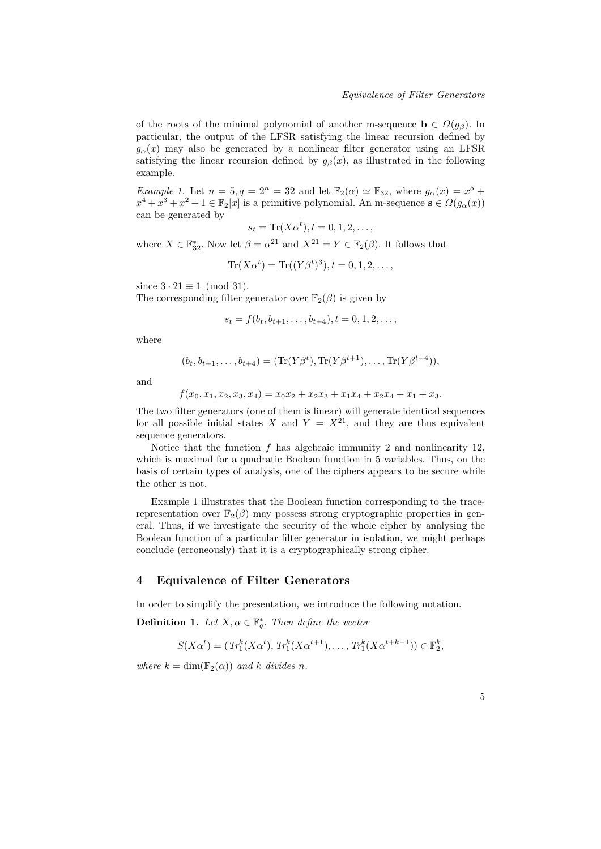of the roots of the minimal polynomial of another m-sequence  $\mathbf{b} \in \Omega(g_{\beta})$ . In particular, the output of the LFSR satisfying the linear recursion defined by  $g_{\alpha}(x)$  may also be generated by a nonlinear filter generator using an LFSR satisfying the linear recursion defined by  $g_{\beta}(x)$ , as illustrated in the following example.

*Example 1.* Let  $n = 5, q = 2^n = 32$  and let  $\mathbb{F}_2(\alpha) \simeq \mathbb{F}_{32}$ , where  $g_\alpha(x) = x^5 +$  $x^4 + x^3 + x^2 + 1 \in \mathbb{F}_2[x]$  is a primitive polynomial. An m-sequence  $\mathbf{s} \in \Omega(g_\alpha(x))$ can be generated by

$$
s_t = \text{Tr}(X\alpha^t), t = 0, 1, 2, \dots,
$$

where  $X \in \mathbb{F}_{32}^*$ . Now let  $\beta = \alpha^{21}$  and  $X^{21} = Y \in \mathbb{F}_2(\beta)$ . It follows that

$$
Tr(X\alpha^{t}) = Tr((Y\beta^{t})^{3}), t = 0, 1, 2, \dots,
$$

since  $3 \cdot 21 \equiv 1 \pmod{31}$ .

The corresponding filter generator over  $\mathbb{F}_2(\beta)$  is given by

$$
s_t = f(b_t, b_{t+1}, \dots, b_{t+4}), t = 0, 1, 2, \dots,
$$

where

$$
(b_t, b_{t+1}, \ldots, b_{t+4}) = (\text{Tr}(Y\beta^t), \text{Tr}(Y\beta^{t+1}), \ldots, \text{Tr}(Y\beta^{t+4})),
$$

and

$$
f(x_0, x_1, x_2, x_3, x_4) = x_0 x_2 + x_2 x_3 + x_1 x_4 + x_2 x_4 + x_1 + x_3.
$$

The two filter generators (one of them is linear) will generate identical sequences for all possible initial states *X* and  $Y = X^{21}$ , and they are thus equivalent sequence generators.

Notice that the function *f* has algebraic immunity 2 and nonlinearity 12, which is maximal for a quadratic Boolean function in 5 variables. Thus, on the basis of certain types of analysis, one of the ciphers appears to be secure while the other is not.

Example 1 illustrates that the Boolean function corresponding to the tracerepresentation over  $\mathbb{F}_2(\beta)$  may possess strong cryptographic properties in general. Thus, if we investigate the security of the whole cipher by analysing the Boolean function of a particular filter generator in isolation, we might perhaps conclude (erroneously) that it is a cryptographically strong cipher.

# **4 Equivalence of Filter Generators**

In order to simplify the presentation, we introduce the following notation.

**Definition 1.** Let  $X, \alpha \in \mathbb{F}_q^*$ . Then define the vector

$$
S(X\alpha^t) = (Tr_1^k(X\alpha^t), Tr_1^k(X\alpha^{t+1}), \dots, Tr_1^k(X\alpha^{t+k-1})) \in \mathbb{F}_2^k,
$$

*where*  $k = \dim(\mathbb{F}_2(\alpha))$  *and*  $k$  *divides*  $n$ *.*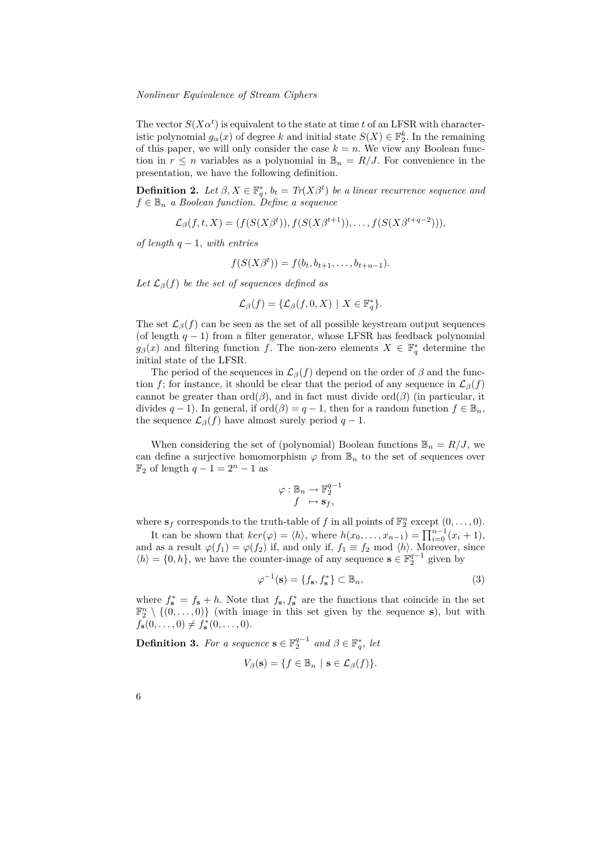The vector  $S(X\alpha^t)$  is equivalent to the state at time *t* of an LFSR with characteristic polynomial  $g_{\alpha}(x)$  of degree *k* and initial state  $S(X) \in \mathbb{F}_2^k$ . In the remaining of this paper, we will only consider the case  $k = n$ . We view any Boolean function in  $r \leq n$  variables as a polynomial in  $\mathbb{B}_n = R/J$ . For convenience in the presentation, we have the following definition.

**Definition 2.** Let  $\beta, X \in \mathbb{F}_q^*$ ,  $b_t = Tr(X\beta^t)$  be a linear recurrence sequence and  $f \in \mathbb{B}_n$  *a Boolean function. Define a sequence* 

$$
\mathcal{L}_{\beta}(f,t,X)=(f(S(X\beta^{t})),f(S(X\beta^{t+1})),\ldots,f(S(X\beta^{t+q-2}))),
$$

*of length q −* 1*, with entries*

$$
f(S(X\beta^{t})) = f(b_{t}, b_{t+1}, \ldots, b_{t+n-1}).
$$

Let  $\mathcal{L}_{\beta}(f)$  *be the set of sequences defined as* 

$$
\mathcal{L}_{\beta}(f) = \{ \mathcal{L}_{\beta}(f, 0, X) \mid X \in \mathbb{F}_q^* \}.
$$

The set  $\mathcal{L}_{\beta}(f)$  can be seen as the set of all possible keystream output sequences (of length *q −* 1) from a filter generator, whose LFSR has feedback polynomial  $g_{\beta}(x)$  and filtering function *f*. The non-zero elements  $X \in \mathbb{F}_q^*$  determine the initial state of the LFSR.

The period of the sequences in  $\mathcal{L}_{\beta}(f)$  depend on the order of  $\beta$  and the function *f*; for instance, it should be clear that the period of any sequence in  $\mathcal{L}_{\beta}(f)$ cannot be greater than  $\text{ord}(\beta)$ , and in fact must divide  $\text{ord}(\beta)$  (in particular, it divides  $q$  − 1). In general, if  $\text{ord}(\beta) = q - 1$ , then for a random function  $f \in \mathbb{B}_n$ , the sequence  $\mathcal{L}_{\beta}(f)$  have almost surely period  $q-1$ .

When considering the set of (polynomial) Boolean functions  $\mathbb{B}_n = R/J$ , we can define a surjective homomorphism  $\varphi$  from  $\mathbb{B}_n$  to the set of sequences over  $\mathbb{F}_2$  of length *q* − 1 =  $2^n$  − 1 as

$$
\varphi: \mathbb{B}_n \to \mathbb{F}_2^{q-1}
$$

$$
f \mapsto \mathbf{s}_f,
$$

where  $\mathbf{s}_f$  corresponds to the truth-table of  $f$  in all points of  $\mathbb{F}_2^n$  except  $(0, \ldots, 0)$ .

It can be shown that  $ker(\varphi) = \langle h \rangle$ , where  $h(x_0, \ldots, x_{n-1}) = \prod_{i=0}^{n-1} (x_i + 1)$ , and as a result  $\varphi(f_1) = \varphi(f_2)$  if, and only if,  $f_1 \equiv f_2 \mod \langle h \rangle$ . Moreover, since  $\langle h \rangle = \{0, h\}$ , we have the counter-image of any sequence **s**  $\in \mathbb{F}_2^{q-1}$  given by

$$
\varphi^{-1}(\mathbf{s}) = \{f_{\mathbf{s}}, f_{\mathbf{s}}^*\} \subset \mathbb{B}_n,\tag{3}
$$

where  $f_s^* = f_s + h$ . Note that  $f_s, f_s^*$  are the functions that coincide in the set  $\mathbb{F}_2^n \setminus \{ (0, \ldots, 0) \}$  (with image in this set given by the sequence **s**), but with  $f_{\mathbf{s}}(0,\ldots,0) \neq f_{\mathbf{s}}^{*}(0,\ldots,0).$ 

**Definition 3.** For a sequence  $\mathbf{s} \in \mathbb{F}_2^{q-1}$  and  $\beta \in \mathbb{F}_q^*$ , let

$$
V_{\beta}(\mathbf{s}) = \{ f \in \mathbb{B}_n \mid \mathbf{s} \in \mathcal{L}_{\beta}(f) \}.
$$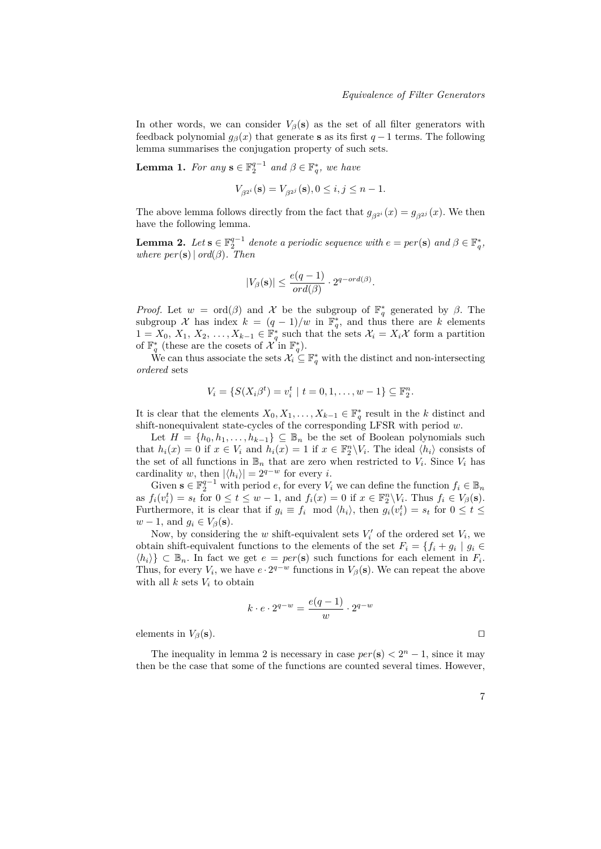In other words, we can consider  $V_\beta(s)$  as the set of all filter generators with feedback polynomial  $g_\beta(x)$  that generate **s** as its first  $q-1$  terms. The following lemma summarises the conjugation property of such sets.

Lemma 1. *For any*  $\mathbf{s} \in \mathbb{F}_2^{q-1}$  and  $\beta \in \mathbb{F}_q^*$ , we have

 $V_{\beta 2^i}(\mathbf{s}) = V_{\beta 2^j}(\mathbf{s}), 0 \leq i, j \leq n-1.$ 

The above lemma follows directly from the fact that  $g_{\beta 2^i}(x) = g_{\beta 2^j}(x)$ . We then have the following lemma.

**Lemma 2.** *Let*  $s \in \mathbb{F}_2^{q-1}$  *denote a periodic sequence with*  $e = per(s)$  *and*  $\beta \in \mathbb{F}_q^*$ *, where*  $per(s)$  |  $ord(\beta)$ *. Then* 

$$
|V_{\beta}(\mathbf{s})| \le \frac{e(q-1)}{ord(\beta)} \cdot 2^{q-ord(\beta)}.
$$

*Proof.* Let  $w = \text{ord}(\beta)$  and  $\mathcal X$  be the subgroup of  $\mathbb{F}_q^*$  generated by  $\beta$ . The subgroup *X* has index  $k = (q-1)/w$  in  $\mathbb{F}_q^*$ , and thus there are *k* elements  $1 = X_0, X_1, X_2, \ldots, X_{k-1} \in \mathbb{F}_q^*$  such that the sets  $\mathcal{X}_i = X_i \mathcal{X}$  form a partition of  $\mathbb{F}_q^*$  (these are the cosets of  $\mathcal{X}^{\dagger}$ in  $\mathbb{F}_q^*$ ).

We can thus associate the sets  $\mathcal{X}_i \subseteq \mathbb{F}_q^*$  with the distinct and non-intersecting *ordered* sets

$$
V_i = \{ S(X_i \beta^t) = v_i^t \mid t = 0, 1, \dots, w - 1 \} \subseteq \mathbb{F}_2^n.
$$

It is clear that the elements  $X_0, X_1, \ldots, X_{k-1} \in \mathbb{F}_q^*$  result in the *k* distinct and shift-nonequivalent state-cycles of the corresponding LFSR with period *w*.

Let  $H = \{h_0, h_1, \ldots, h_{k-1}\}\subseteq \mathbb{B}_n$  be the set of Boolean polynomials such that  $h_i(x) = 0$  if  $x \in V_i$  and  $h_i(x) = 1$  if  $x \in \mathbb{F}_2^n \setminus V_i$ . The ideal  $\langle h_i \rangle$  consists of the set of all functions in  $\mathbb{B}_n$  that are zero when restricted to  $V_i$ . Since  $V_i$  has cardinality *w*, then  $|\langle h_i \rangle| = 2^{q-w}$  for every *i*.

Given  $\mathbf{s} \in \mathbb{F}_2^{q-1}$  with period *e*, for every  $V_i$  we can define the function  $f_i \in \mathbb{B}_n$ as  $f_i(v_i^t) = s_t$  for  $0 \le t \le w - 1$ , and  $f_i(x) = 0$  if  $x \in \mathbb{F}_2^n \setminus V_i$ . Thus  $f_i \in V_\beta(\mathbf{s})$ . Furthermore, it is clear that if  $g_i \equiv f_i \mod \langle h_i \rangle$ , then  $g_i(v_i^t) = s_t$  for  $0 \le t \le$  $w-1$ , and  $g_i \in V_\beta(\mathbf{s})$ .

Now, by considering the  $w$  shift-equivalent sets  $V_i'$  of the ordered set  $V_i$ , we obtain shift-equivalent functions to the elements of the set  $F_i = \{f_i + g_i \mid g_i \in$  $\langle h_i \rangle$  ⊂ B<sub>n</sub>. In fact we get *e* = *per*(**s**) such functions for each element in *F<sub>i</sub>*. Thus, for every  $V_i$ , we have  $e \cdot 2^{q-w}$  functions in  $V_\beta(\mathbf{s})$ . We can repeat the above with all  $k$  sets  $V_i$  to obtain

$$
k \cdot e \cdot 2^{q-w} = \frac{e(q-1)}{w} \cdot 2^{q-w}
$$

elements in  $V_\beta(\mathbf{s})$ .

The inequality in lemma 2 is necessary in case  $per(\mathbf{s}) < 2^n - 1$ , since it may then be the case that some of the functions are counted several times. However,

7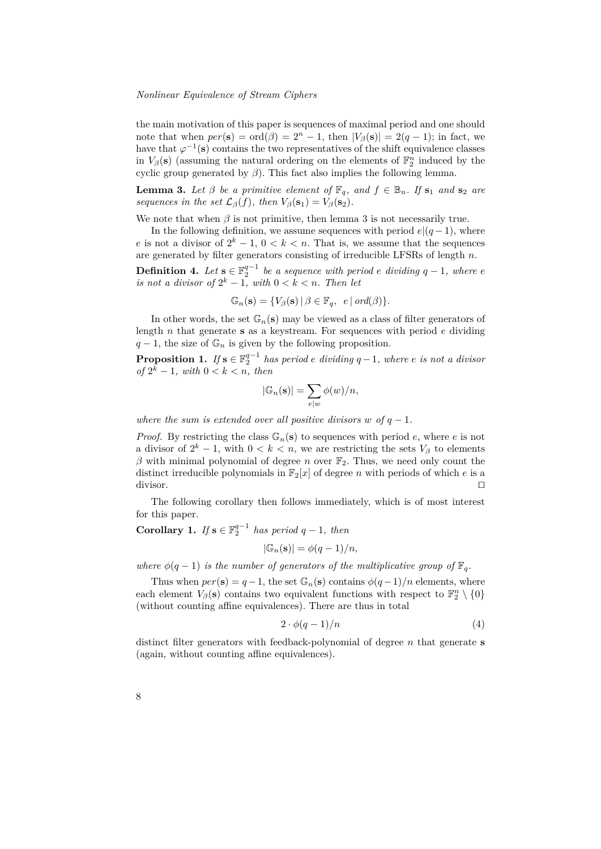the main motivation of this paper is sequences of maximal period and one should note that when  $per(\mathbf{s}) = ord(\beta) = 2^n - 1$ , then  $|V_\beta(\mathbf{s})| = 2(q-1)$ ; in fact, we have that  $\varphi^{-1}(\mathbf{s})$  contains the two representatives of the shift equivalence classes in  $V_\beta(\mathbf{s})$  (assuming the natural ordering on the elements of  $\mathbb{F}_2^n$  induced by the cyclic group generated by  $\beta$ ). This fact also implies the following lemma.

**Lemma 3.** Let  $\beta$  be a primitive element of  $\mathbb{F}_q$ , and  $f \in \mathbb{B}_n$ . If  $s_1$  and  $s_2$  are *sequences in the set*  $\mathcal{L}_{\beta}(f)$ *, then*  $V_{\beta}(\mathbf{s}_1) = V_{\beta}(\mathbf{s}_2)$ *.* 

We note that when  $\beta$  is not primitive, then lemma 3 is not necessarily true.

In the following definition, we assume sequences with period  $e|(q-1)$ , where *e* is not a divisor of  $2^k - 1$ ,  $0 < k < n$ . That is, we assume that the sequences are generated by filter generators consisting of irreducible LFSRs of length *n*.

**Definition 4.** Let  $\mathbf{s} \in \mathbb{F}_2^{q-1}$  be a sequence with period *e* dividing  $q-1$ , where  $e$ *is not a divisor of*  $2^k - 1$ *, with*  $0 < k < n$ *. Then let* 

$$
\mathbb{G}_n(\mathbf{s}) = \{ V_\beta(\mathbf{s}) \, | \, \beta \in \mathbb{F}_q, \ e \, | \, \text{ord}(\beta) \}.
$$

In other words, the set  $\mathbb{G}_n(s)$  may be viewed as a class of filter generators of length *n* that generate **s** as a keystream. For sequences with period *e* dividing  $q-1$ , the size of  $\mathbb{G}_n$  is given by the following proposition.

**Proposition 1.** *If*  $\mathbf{s} \in \mathbb{F}_2^{q-1}$  *has period e dividing*  $q-1$ *, where e is not a divisor of*  $2^k − 1$ *, with*  $0 < k < n$ *, then* 

$$
|\mathbb{G}_n(\mathbf{s})| = \sum_{e|w} \phi(w)/n,
$$

*where the sum is extended over all positive divisors*  $w$  *of*  $q - 1$ *.* 

*Proof.* By restricting the class  $\mathbb{G}_n(s)$  to sequences with period *e*, where *e* is not a divisor of  $2^k - 1$ , with  $0 < k < n$ , we are restricting the sets  $V_\beta$  to elements  $β$  with minimal polynomial of degree *n* over  $\mathbb{F}_2$ . Thus, we need only count the distinct irreducible polynomials in  $\mathbb{F}_2[x]$  of degree *n* with periods of which *e* is a divisor.  $\Box$ 

The following corollary then follows immediately, which is of most interest for this paper.

**Corollary 1.** *If*  $\mathbf{s} \in \mathbb{F}_2^{q-1}$  *has period*  $q-1$ *, then* 

$$
|\mathbb{G}_n(\mathbf{s})| = \phi(q-1)/n,
$$

*where*  $\phi(q-1)$  *is the number of generators of the multiplicative group of*  $\mathbb{F}_q$ *.* 

Thus when  $per(\mathbf{s}) = q - 1$ , the set  $\mathbb{G}_n(\mathbf{s})$  contains  $\phi(q-1)/n$  elements, where each element  $V_\beta(\mathbf{s})$  contains two equivalent functions with respect to  $\mathbb{F}_2^n \setminus \{0\}$ (without counting affine equivalences). There are thus in total

$$
2 \cdot \phi(q-1)/n \tag{4}
$$

distinct filter generators with feedback-polynomial of degree *n* that generate **s** (again, without counting affine equivalences).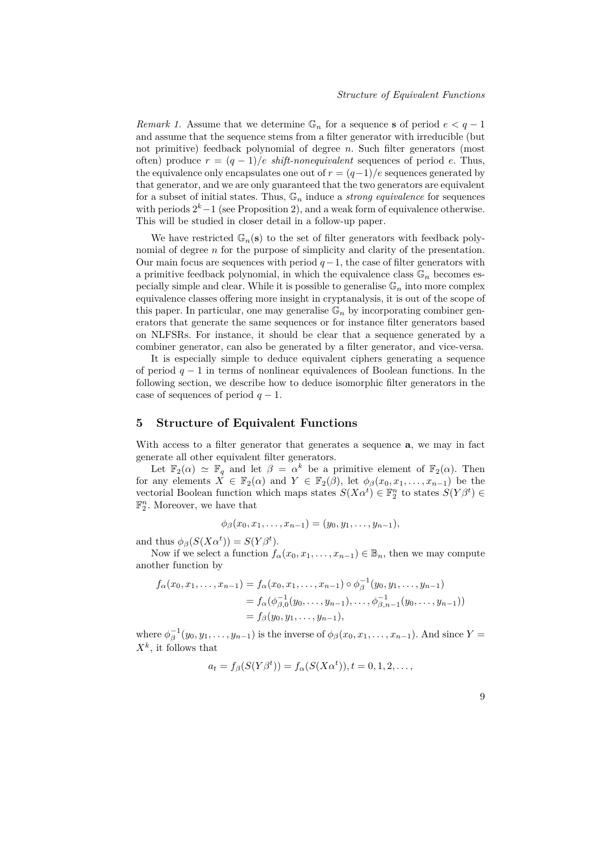*Remark 1.* Assume that we determine  $\mathbb{G}_n$  for a sequence **s** of period  $e < q - 1$ and assume that the sequence stems from a filter generator with irreducible (but not primitive) feedback polynomial of degree *n*. Such filter generators (most often) produce  $r = (q - 1)/e$  *shift-nonequivalent* sequences of period *e*. Thus, the equivalence only encapsulates one out of  $r = (q-1)/e$  sequences generated by that generator, and we are only guaranteed that the two generators are equivalent for a subset of initial states. Thus, G*<sup>n</sup>* induce a *strong equivalence* for sequences with periods  $2<sup>k</sup>$ −1 (see Proposition 2), and a weak form of equivalence otherwise. This will be studied in closer detail in a follow-up paper.

We have restricted  $\mathbb{G}_n(\mathbf{s})$  to the set of filter generators with feedback polynomial of degree *n* for the purpose of simplicity and clarity of the presentation. Our main focus are sequences with period  $q-1$ , the case of filter generators with a primitive feedback polynomial, in which the equivalence class  $\mathbb{G}_n$  becomes especially simple and clear. While it is possible to generalise  $\mathbb{G}_n$  into more complex equivalence classes offering more insight in cryptanalysis, it is out of the scope of this paper. In particular, one may generalise  $\mathbb{G}_n$  by incorporating combiner generators that generate the same sequences or for instance filter generators based on NLFSRs. For instance, it should be clear that a sequence generated by a combiner generator, can also be generated by a filter generator, and vice-versa.

It is especially simple to deduce equivalent ciphers generating a sequence of period *q −* 1 in terms of nonlinear equivalences of Boolean functions. In the following section, we describe how to deduce isomorphic filter generators in the case of sequences of period *q −* 1.

### **5 Structure of Equivalent Functions**

With access to a filter generator that generates a sequence **a**, we may in fact generate all other equivalent filter generators.

Let  $\mathbb{F}_2(\alpha) \simeq \mathbb{F}_q$  and let  $\beta = \alpha^k$  be a primitive element of  $\mathbb{F}_2(\alpha)$ . Then for any elements  $X \in \mathbb{F}_2(\alpha)$  and  $Y \in \mathbb{F}_2(\beta)$ , let  $\phi_\beta(x_0, x_1, \ldots, x_{n-1})$  be the vectorial Boolean function which maps states  $S(X\alpha^t) \in \mathbb{F}_2^n$  to states  $S(Y\beta^t) \in$  $\mathbb{F}_2^n$ . Moreover, we have that

$$
\phi_{\beta}(x_0, x_1, \ldots, x_{n-1}) = (y_0, y_1, \ldots, y_{n-1}),
$$

and thus  $\phi_{\beta}(S(X\alpha^t)) = S(Y\beta^t)$ .

Now if we select a function  $f_\alpha(x_0, x_1, \ldots, x_{n-1}) \in \mathbb{B}_n$ , then we may compute another function by

$$
f_{\alpha}(x_0, x_1, \dots, x_{n-1}) = f_{\alpha}(x_0, x_1, \dots, x_{n-1}) \circ \phi_{\beta}^{-1}(y_0, y_1, \dots, y_{n-1})
$$
  
=  $f_{\alpha}(\phi_{\beta,0}^{-1}(y_0, \dots, y_{n-1}), \dots, \phi_{\beta,n-1}^{-1}(y_0, \dots, y_{n-1}))$   
=  $f_{\beta}(y_0, y_1, \dots, y_{n-1}),$ 

where  $\phi_{\beta}^{-1}(y_0, y_1, \ldots, y_{n-1})$  is the inverse of  $\phi_{\beta}(x_0, x_1, \ldots, x_{n-1})$ . And since  $Y =$  $X^k$ , it follows that

$$
a_t = f_{\beta}(S(Y\beta^t)) = f_{\alpha}(S(X\alpha^t)), t = 0, 1, 2, \dots,
$$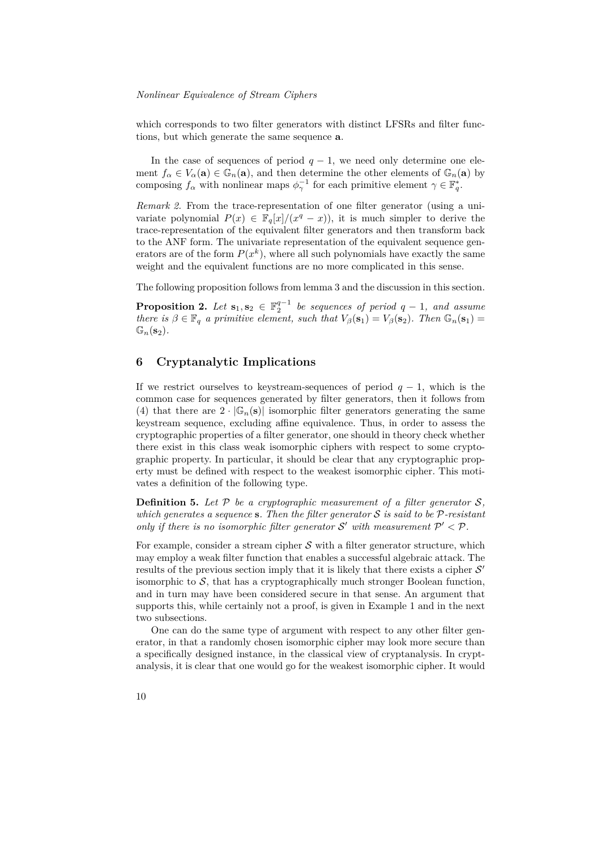which corresponds to two filter generators with distinct LFSRs and filter functions, but which generate the same sequence **a**.

In the case of sequences of period  $q - 1$ , we need only determine one element  $f_\alpha \in V_\alpha(\mathbf{a}) \in \mathbb{G}_n(\mathbf{a})$ , and then determine the other elements of  $\mathbb{G}_n(\mathbf{a})$  by composing  $f_{\alpha}$  with nonlinear maps  $\phi_{\gamma}^{-1}$  for each primitive element  $\gamma \in \mathbb{F}_q^*$ .

*Remark 2.* From the trace-representation of one filter generator (using a univariate polynomial  $P(x) \in \mathbb{F}_q[x]/(x^q - x)$ , it is much simpler to derive the trace-representation of the equivalent filter generators and then transform back to the ANF form. The univariate representation of the equivalent sequence generators are of the form  $P(x^k)$ , where all such polynomials have exactly the same weight and the equivalent functions are no more complicated in this sense.

The following proposition follows from lemma 3 and the discussion in this section.

**Proposition 2.** Let  $s_1, s_2 \in \mathbb{F}_2^{q-1}$  be sequences of period  $q-1$ , and assume *there is*  $\beta \in \mathbb{F}_q$  *a primitive element, such that*  $V_\beta(\mathbf{s}_1) = V_\beta(\mathbf{s}_2)$ *. Then*  $\mathbb{G}_n(\mathbf{s}_1) =$  $\mathbb{G}_n(\mathbf{s}_2)$ .

### **6 Cryptanalytic Implications**

If we restrict ourselves to keystream-sequences of period  $q - 1$ , which is the common case for sequences generated by filter generators, then it follows from (4) that there are  $2 \cdot |\mathbb{G}_n(\mathbf{s})|$  isomorphic filter generators generating the same keystream sequence, excluding affine equivalence. Thus, in order to assess the cryptographic properties of a filter generator, one should in theory check whether there exist in this class weak isomorphic ciphers with respect to some cryptographic property. In particular, it should be clear that any cryptographic property must be defined with respect to the weakest isomorphic cipher. This motivates a definition of the following type.

**Definition 5.** Let  $P$  be a cryptographic measurement of a filter generator  $S$ , *which generates a sequence* **s***. Then the filter generator S is said to be P-resistant only if there is no isomorphic filter generator*  $S'$  *with measurement*  $P' < P$ *.* 

For example, consider a stream cipher  $S$  with a filter generator structure, which may employ a weak filter function that enables a successful algebraic attack. The results of the previous section imply that it is likely that there exists a cipher  $S'$ isomorphic to  $S$ , that has a cryptographically much stronger Boolean function, and in turn may have been considered secure in that sense. An argument that supports this, while certainly not a proof, is given in Example 1 and in the next two subsections.

One can do the same type of argument with respect to any other filter generator, in that a randomly chosen isomorphic cipher may look more secure than a specifically designed instance, in the classical view of cryptanalysis. In cryptanalysis, it is clear that one would go for the weakest isomorphic cipher. It would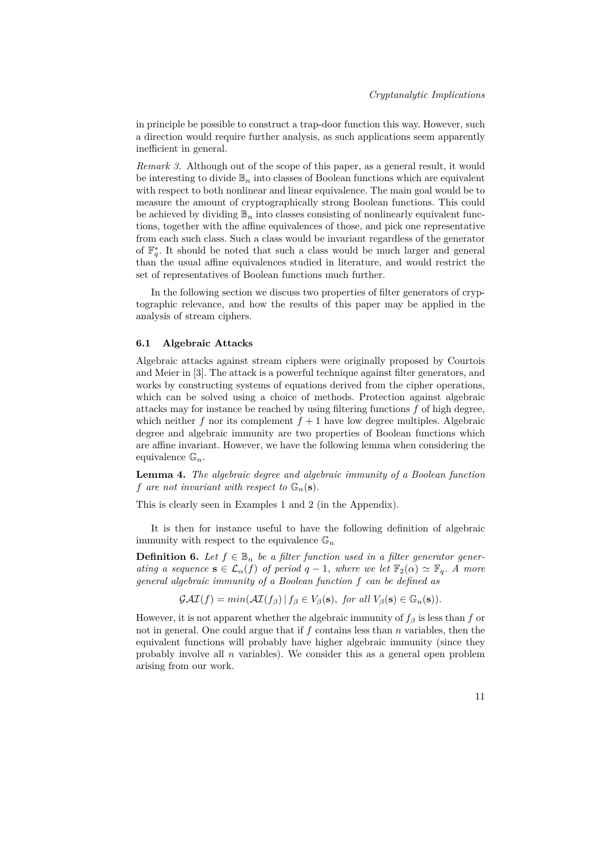in principle be possible to construct a trap-door function this way. However, such a direction would require further analysis, as such applications seem apparently inefficient in general.

*Remark 3.* Although out of the scope of this paper, as a general result, it would be interesting to divide  $\mathbb{B}_n$  into classes of Boolean functions which are equivalent with respect to both nonlinear and linear equivalence. The main goal would be to measure the amount of cryptographically strong Boolean functions. This could be achieved by dividing  $\mathbb{B}_n$  into classes consisting of nonlinearly equivalent functions, together with the affine equivalences of those, and pick one representative from each such class. Such a class would be invariant regardless of the generator of  $\mathbb{F}_q^*$ . It should be noted that such a class would be much larger and general than the usual affine equivalences studied in literature, and would restrict the set of representatives of Boolean functions much further.

In the following section we discuss two properties of filter generators of cryptographic relevance, and how the results of this paper may be applied in the analysis of stream ciphers.

#### **6.1 Algebraic Attacks**

Algebraic attacks against stream ciphers were originally proposed by Courtois and Meier in [3]. The attack is a powerful technique against filter generators, and works by constructing systems of equations derived from the cipher operations, which can be solved using a choice of methods. Protection against algebraic attacks may for instance be reached by using filtering functions *f* of high degree, which neither  $f$  nor its complement  $f + 1$  have low degree multiples. Algebraic degree and algebraic immunity are two properties of Boolean functions which are affine invariant. However, we have the following lemma when considering the equivalence G*n*.

**Lemma 4.** *The algebraic degree and algebraic immunity of a Boolean function f* are not invariant with respect to  $\mathbb{G}_n(\mathbf{s})$ .

This is clearly seen in Examples 1 and 2 (in the Appendix).

It is then for instance useful to have the following definition of algebraic immunity with respect to the equivalence  $\mathbb{G}_n$ 

**Definition 6.** Let  $f \in \mathbb{B}_n$  be a filter function used in a filter generator gener*ating a sequence*  $\mathbf{s} \in \mathcal{L}_{\alpha}(f)$  *of period*  $q - 1$ *, where we let*  $\mathbb{F}_2(\alpha) \simeq \mathbb{F}_q$ *. A more general algebraic immunity of a Boolean function f can be defined as*

$$
\mathcal{GAT}(f) = min(\mathcal{AI}(f_{\beta}) | f_{\beta} \in V_{\beta}(\mathbf{s}), \text{ for all } V_{\beta}(\mathbf{s}) \in \mathbb{G}_n(\mathbf{s})).
$$

However, it is not apparent whether the algebraic immunity of *f<sup>β</sup>* is less than *f* or not in general. One could argue that if *f* contains less than *n* variables, then the equivalent functions will probably have higher algebraic immunity (since they probably involve all *n* variables). We consider this as a general open problem arising from our work.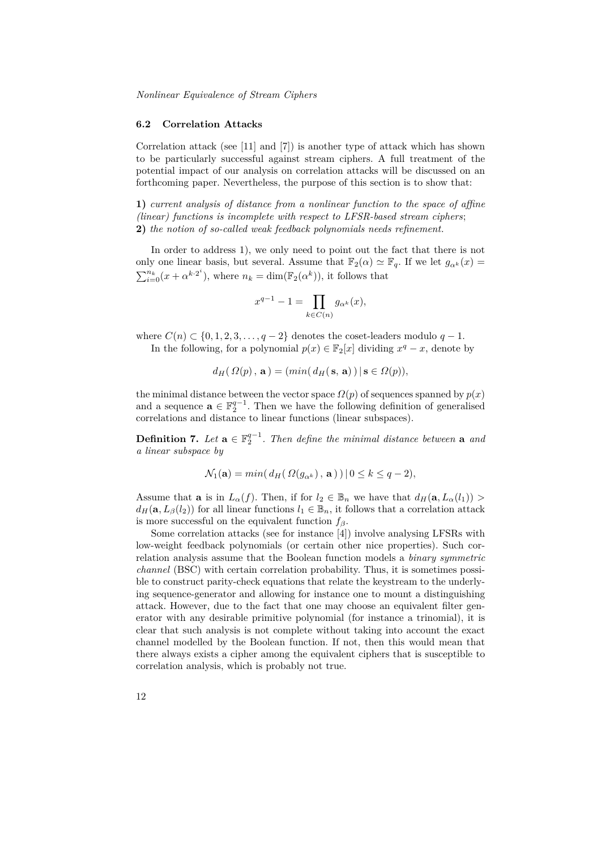#### **6.2 Correlation Attacks**

Correlation attack (see [11] and [7]) is another type of attack which has shown to be particularly successful against stream ciphers. A full treatment of the potential impact of our analysis on correlation attacks will be discussed on an forthcoming paper. Nevertheless, the purpose of this section is to show that:

**1)** *current analysis of distance from a nonlinear function to the space of affine (linear) functions is incomplete with respect to LFSR-based stream ciphers*; **2)** *the notion of so-called weak feedback polynomials needs refinement.*

In order to address 1), we only need to point out the fact that there is not only one linear basis, but several. Assume that  $\mathbb{F}_2(\alpha) \simeq \mathbb{F}_q$ . If we let  $g_{\alpha^k}(x) =$  $\sum_{i=0}^{n_k} (x + \alpha^{k \cdot 2^i})$ , where  $n_k = \dim(\mathbb{F}_2(\alpha^k))$ , it follows that

$$
x^{q-1} - 1 = \prod_{k \in C(n)} g_{\alpha^k}(x),
$$

where  $C(n) \subset \{0, 1, 2, 3, \ldots, q-2\}$  denotes the coset-leaders modulo  $q-1$ . In the following, for a polynomial  $p(x) \in \mathbb{F}_2[x]$  dividing  $x^q - x$ , denote by

$$
d_H(\Omega(p), \mathbf{a}) = (\min(d_H(\mathbf{s}, \mathbf{a})) \, | \, \mathbf{s} \in \Omega(p)),
$$

the minimal distance between the vector space  $\Omega(p)$  of sequences spanned by  $p(x)$ and a sequence  $\mathbf{a} \in \mathbb{F}_2^{q-1}$ . Then we have the following definition of generalised correlations and distance to linear functions (linear subspaces).

**Definition 7.** Let  $\mathbf{a} \in \mathbb{F}_2^{q-1}$ . Then define the minimal distance between  $\mathbf{a}$  and *a linear subspace by*

$$
\mathcal{N}_1(\mathbf{a}) = \min(d_H(\Omega(g_{\alpha^k}), \mathbf{a})) | 0 \le k \le q - 2),
$$

Assume that **a** is in  $L_{\alpha}(f)$ . Then, if for  $l_2 \in \mathbb{B}_n$  we have that  $d_H(\mathbf{a}, L_{\alpha}(l_1)) >$  $d_H(\mathbf{a}, L_\beta(l_2))$  for all linear functions  $l_1 \in \mathbb{B}_n$ , it follows that a correlation attack is more successful on the equivalent function  $f_\beta$ .

Some correlation attacks (see for instance [4]) involve analysing LFSRs with low-weight feedback polynomials (or certain other nice properties). Such correlation analysis assume that the Boolean function models a *binary symmetric channel* (BSC) with certain correlation probability. Thus, it is sometimes possible to construct parity-check equations that relate the keystream to the underlying sequence-generator and allowing for instance one to mount a distinguishing attack. However, due to the fact that one may choose an equivalent filter generator with any desirable primitive polynomial (for instance a trinomial), it is clear that such analysis is not complete without taking into account the exact channel modelled by the Boolean function. If not, then this would mean that there always exists a cipher among the equivalent ciphers that is susceptible to correlation analysis, which is probably not true.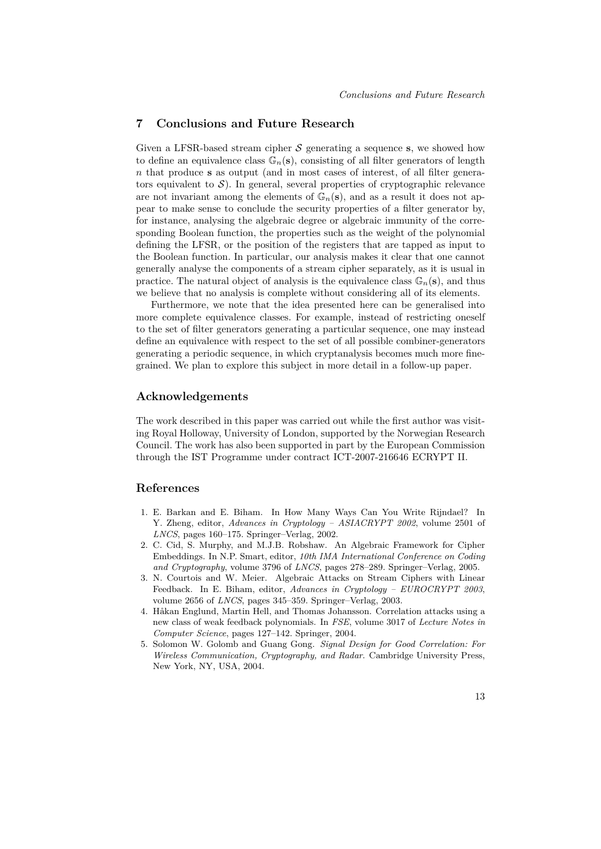### **7 Conclusions and Future Research**

Given a LFSR-based stream cipher *S* generating a sequence **s**, we showed how to define an equivalence class  $\mathbb{G}_n(s)$ , consisting of all filter generators of length *n* that produce **s** as output (and in most cases of interest, of all filter generators equivalent to  $S$ ). In general, several properties of cryptographic relevance are not invariant among the elements of  $\mathbb{G}_n(s)$ , and as a result it does not appear to make sense to conclude the security properties of a filter generator by, for instance, analysing the algebraic degree or algebraic immunity of the corresponding Boolean function, the properties such as the weight of the polynomial defining the LFSR, or the position of the registers that are tapped as input to the Boolean function. In particular, our analysis makes it clear that one cannot generally analyse the components of a stream cipher separately, as it is usual in practice. The natural object of analysis is the equivalence class  $\mathbb{G}_n(s)$ , and thus we believe that no analysis is complete without considering all of its elements.

Furthermore, we note that the idea presented here can be generalised into more complete equivalence classes. For example, instead of restricting oneself to the set of filter generators generating a particular sequence, one may instead define an equivalence with respect to the set of all possible combiner-generators generating a periodic sequence, in which cryptanalysis becomes much more finegrained. We plan to explore this subject in more detail in a follow-up paper.

### **Acknowledgements**

The work described in this paper was carried out while the first author was visiting Royal Holloway, University of London, supported by the Norwegian Research Council. The work has also been supported in part by the European Commission through the IST Programme under contract ICT-2007-216646 ECRYPT II.

### **References**

- 1. E. Barkan and E. Biham. In How Many Ways Can You Write Rijndael? In Y. Zheng, editor, *Advances in Cryptology – ASIACRYPT 2002*, volume 2501 of *LNCS*, pages 160–175. Springer–Verlag, 2002.
- 2. C. Cid, S. Murphy, and M.J.B. Robshaw. An Algebraic Framework for Cipher Embeddings. In N.P. Smart, editor, *10th IMA International Conference on Coding and Cryptography*, volume 3796 of *LNCS*, pages 278–289. Springer–Verlag, 2005.
- 3. N. Courtois and W. Meier. Algebraic Attacks on Stream Ciphers with Linear Feedback. In E. Biham, editor, *Advances in Cryptology – EUROCRYPT 2003*, volume 2656 of *LNCS*, pages 345–359. Springer–Verlag, 2003.
- 4. Håkan Englund, Martin Hell, and Thomas Johansson. Correlation attacks using a new class of weak feedback polynomials. In *FSE*, volume 3017 of *Lecture Notes in Computer Science*, pages 127–142. Springer, 2004.
- 5. Solomon W. Golomb and Guang Gong. *Signal Design for Good Correlation: For Wireless Communication, Cryptography, and Radar*. Cambridge University Press, New York, NY, USA, 2004.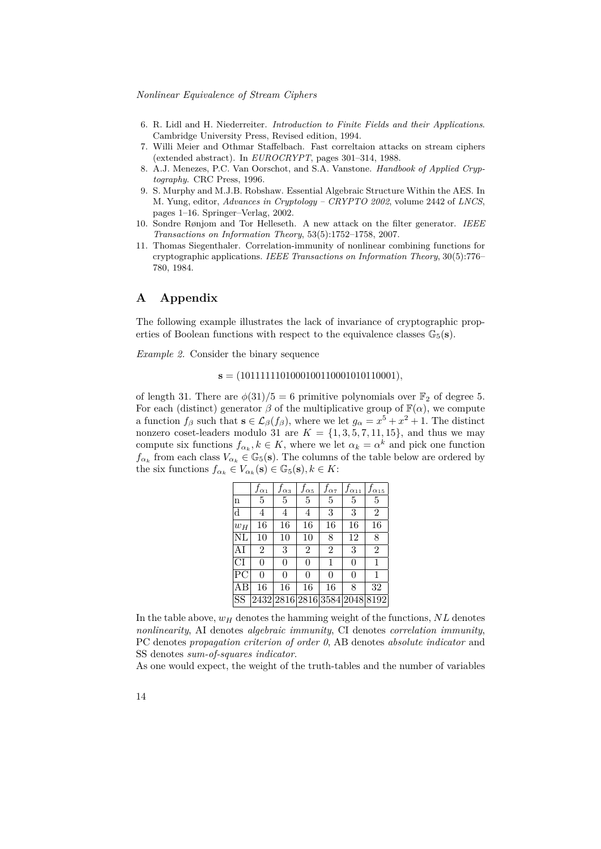- 6. R. Lidl and H. Niederreiter. *Introduction to Finite Fields and their Applications*. Cambridge University Press, Revised edition, 1994.
- 7. Willi Meier and Othmar Staffelbach. Fast correltaion attacks on stream ciphers (extended abstract). In *EUROCRYPT*, pages 301–314, 1988.
- 8. A.J. Menezes, P.C. Van Oorschot, and S.A. Vanstone. *Handbook of Applied Cryptography*. CRC Press, 1996.
- 9. S. Murphy and M.J.B. Robshaw. Essential Algebraic Structure Within the AES. In M. Yung, editor, *Advances in Cryptology – CRYPTO 2002*, volume 2442 of *LNCS*, pages 1–16. Springer–Verlag, 2002.
- 10. Sondre Rønjom and Tor Helleseth. A new attack on the filter generator. *IEEE Transactions on Information Theory*, 53(5):1752–1758, 2007.
- 11. Thomas Siegenthaler. Correlation-immunity of nonlinear combining functions for cryptographic applications. *IEEE Transactions on Information Theory*, 30(5):776– 780, 1984.

# **A Appendix**

The following example illustrates the lack of invariance of cryptographic properties of Boolean functions with respect to the equivalence classes  $\mathbb{G}_5(\mathbf{s})$ .

*Example 2.* Consider the binary sequence

### **s** = (1011111101000100110001010110001)*,*

of length 31. There are  $\phi(31)/5 = 6$  primitive polynomials over  $\mathbb{F}_2$  of degree 5. For each (distinct) generator  $\beta$  of the multiplicative group of  $\mathbb{F}(\alpha)$ , we compute a function  $f_\beta$  such that  $\mathbf{s} \in \mathcal{L}_\beta(f_\beta)$ , where we let  $g_\alpha = x^5 + x^2 + 1$ . The distinct nonzero coset-leaders modulo 31 are  $K = \{1, 3, 5, 7, 11, 15\}$ , and thus we may compute six functions  $f_{\alpha_k}, k \in K$ , where we let  $\alpha_k = \alpha^k$  and pick one function *f*<sub>*αk*</sub> from each class  $V_{\alpha k} \in \mathbb{G}_5(\mathbf{s})$ . The columns of the table below are ordered by  $t$ he six functions  $f_{\alpha_k} \in V_{\alpha_k}(\mathbf{s}) \in \mathbb{G}_5(\mathbf{s}), k \in K$ :

|                        | $f_{\alpha_1}$ | $f_{\alpha_3}$                | $f_{\alpha_5}$ | $f_{\alpha_7}$ | $f_{\alpha_{11}}$ | $J\alpha_{15}$ |
|------------------------|----------------|-------------------------------|----------------|----------------|-------------------|----------------|
| n                      | 5              | 5                             | 5              | 5              | 5                 | 5              |
| $\mathbf d$            | 4              | 4                             | 4              | 3              | 3                 | $\overline{2}$ |
| $w_H$                  | 16             | 16                            | 16             | 16             | 16                | 16             |
| NL                     | 10             | 10                            | 10             | 8              | 12                | 8              |
| AI                     | 2              | 3                             | $\overline{2}$ | $\overline{2}$ | 3                 | $\overline{2}$ |
| CI                     | 0              | 0                             | $\theta$       | 1              | 0                 | 1              |
| РC                     | 0              | 0                             | $\theta$       | 0              | 0                 | 1              |
| AВ                     | 16             | 16                            | 16             | 16             | 8                 | 32             |
| $\overline{\text{SS}}$ |                | 2432 2816 2816 3584 2048 8192 |                |                |                   |                |

In the table above,  $w_H$  denotes the hamming weight of the functions,  $NL$  denotes *nonlinearity*, AI denotes *algebraic immunity*, CI denotes *correlation immunity*, PC denotes *propagation criterion of order 0*, AB denotes *absolute indicator* and SS denotes *sum-of-squares indicator*.

As one would expect, the weight of the truth-tables and the number of variables